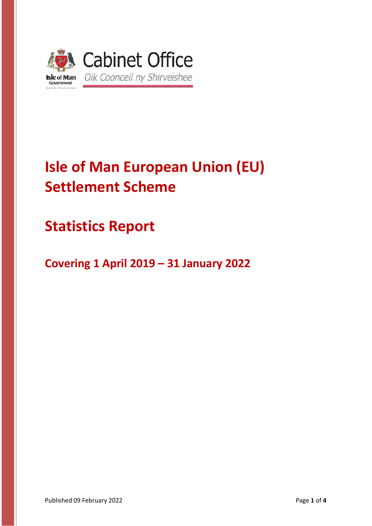

# **Isle of Man European Union (EU) Settlement Scheme**

## **Statistics Report**

**Covering 1 April 2019 – 31 January 2022**

Published 09 February 2022 **Published 09 February 2022 Page 1 of 4**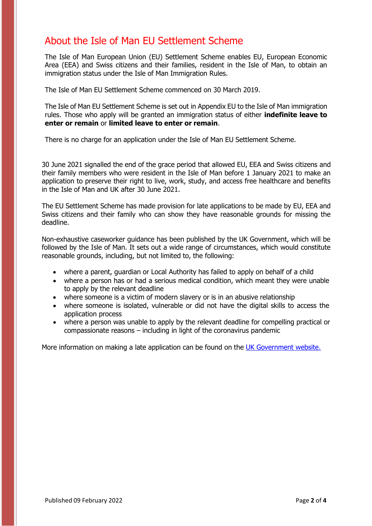### About the Isle of Man EU Settlement Scheme

The Isle of Man European Union (EU) Settlement Scheme enables EU, European Economic Area (EEA) and Swiss citizens and their families, resident in the Isle of Man, to obtain an immigration status under the Isle of Man Immigration Rules.

The Isle of Man EU Settlement Scheme commenced on 30 March 2019.

The Isle of Man EU Settlement Scheme is set out in Appendix EU to the Isle of Man immigration rules. Those who apply will be granted an immigration status of either **indefinite leave to enter or remain** or **limited leave to enter or remain**.

There is no charge for an application under the Isle of Man EU Settlement Scheme.

30 June 2021 signalled the end of the grace period that allowed EU, EEA and Swiss citizens and their family members who were resident in the Isle of Man before 1 January 2021 to make an application to preserve their right to live, work, study, and access free healthcare and benefits in the Isle of Man and UK after 30 June 2021.

The EU Settlement Scheme has made provision for late applications to be made by EU, EEA and Swiss citizens and their family who can show they have reasonable grounds for missing the deadline.

Non-exhaustive caseworker guidance has been published by the UK Government, which will be followed by the Isle of Man. It sets out a wide range of circumstances, which would constitute reasonable grounds, including, but not limited to, the following:

- where a parent, guardian or Local Authority has failed to apply on behalf of a child
- where a person has or had a serious medical condition, which meant they were unable to apply by the relevant deadline
- where someone is a victim of modern slavery or is in an abusive relationship
- where someone is isolated, vulnerable or did not have the digital skills to access the application process
- where a person was unable to apply by the relevant deadline for compelling practical or compassionate reasons – including in light of the coronavirus pandemic

More information on making a late application can be found on the UK [Government website.](https://www.gov.uk/government/publications/eu-settlement-scheme-information-for-late-applicants/eu-settlement-scheme-information-for-late-applicants)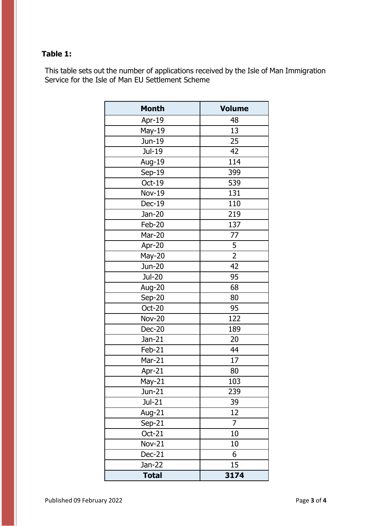#### **Table 1:**

This table sets out the number of applications received by the Isle of Man Immigration Service for the Isle of Man EU Settlement Scheme

| <b>Month</b>  | <b>Volume</b>  |
|---------------|----------------|
| Apr-19        | 48             |
| <b>May-19</b> | 13             |
| Jun-19        | 25             |
| Jul-19        | 42             |
| Aug-19        | 114            |
| $Sep-19$      | 399            |
| Oct-19        | 539            |
| <b>Nov-19</b> | 131            |
| Dec-19        | 110            |
| Jan-20        | 219            |
| Feb-20        | 137            |
| Mar-20        | 77             |
| Apr-20        | 5              |
| May-20        | $\overline{2}$ |
| Jun-20        | 42             |
| <b>Jul-20</b> | 95             |
| Aug-20        | 68             |
| Sep-20        | 80             |
| Oct-20        | 95             |
| <b>Nov-20</b> | 122            |
| <b>Dec-20</b> | 189            |
| $Jan-21$      | 20             |
| Feb-21        | 44             |
| Mar-21        | 17             |
| Apr-21        | 80             |
| May-21        | 103            |
| Jun-21        | 239            |
| Jul-21        | 39             |
| Aug-21        | 12             |
| $Sep-21$      | $\overline{7}$ |
| $Oct-21$      | 10             |
| <b>Nov-21</b> | 10             |
| Dec-21        | 6              |
| Jan-22        | 15             |
| <b>Total</b>  | 3174           |